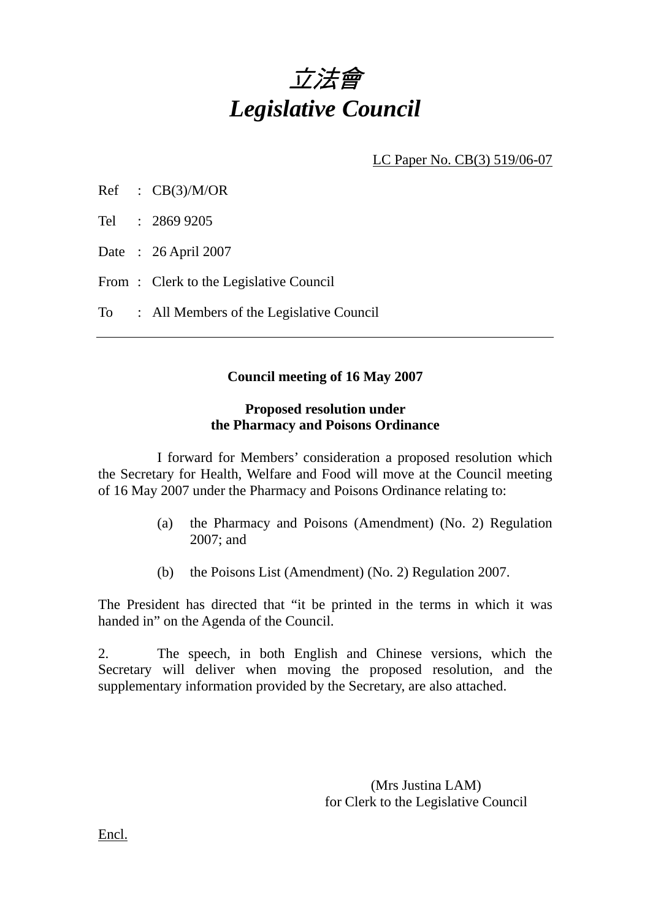

LC Paper No. CB(3) 519/06-07

- $Ref$  :  $CB(3)/M/OR$
- Tel : 2869 9205
- Date : 26 April 2007
- From: Clerk to the Legislative Council
- To : All Members of the Legislative Council

### **Council meeting of 16 May 2007**

#### **Proposed resolution under the Pharmacy and Poisons Ordinance**

 I forward for Members' consideration a proposed resolution which the Secretary for Health, Welfare and Food will move at the Council meeting of 16 May 2007 under the Pharmacy and Poisons Ordinance relating to:

- (a) the Pharmacy and Poisons (Amendment) (No. 2) Regulation 2007; and
- (b) the Poisons List (Amendment) (No. 2) Regulation 2007.

The President has directed that "it be printed in the terms in which it was handed in" on the Agenda of the Council.

2. The speech, in both English and Chinese versions, which the Secretary will deliver when moving the proposed resolution, and the supplementary information provided by the Secretary, are also attached.

> (Mrs Justina LAM) for Clerk to the Legislative Council

Encl.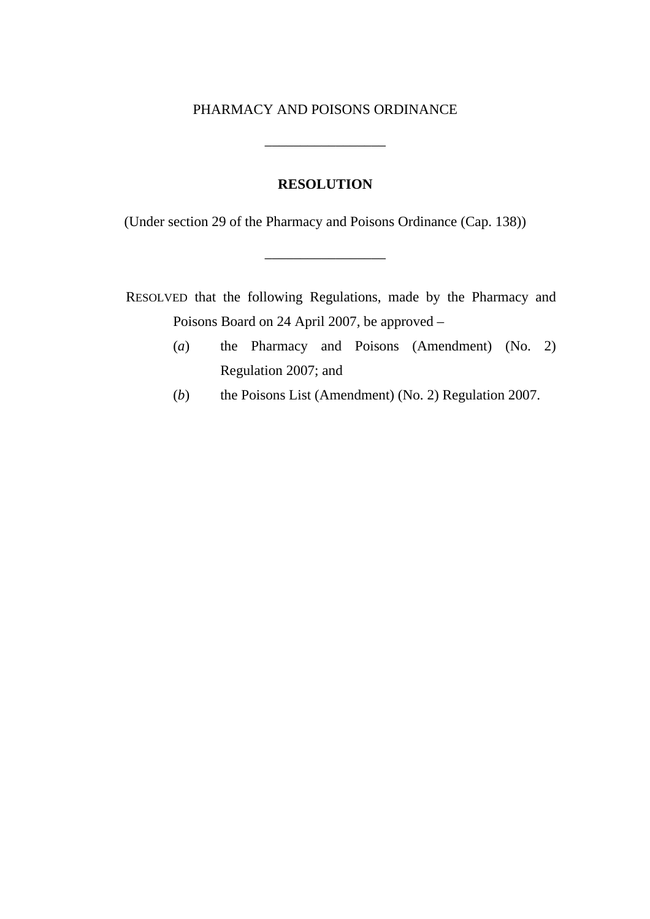#### PHARMACY AND POISONS ORDINANCE

\_\_\_\_\_\_\_\_\_\_\_\_\_\_\_\_\_

#### **RESOLUTION**

(Under section 29 of the Pharmacy and Poisons Ordinance (Cap. 138))

\_\_\_\_\_\_\_\_\_\_\_\_\_\_\_\_\_

RESOLVED that the following Regulations, made by the Pharmacy and Poisons Board on 24 April 2007, be approved –

- (*a*) the Pharmacy and Poisons (Amendment) (No. 2) Regulation 2007; and
- (*b*) the Poisons List (Amendment) (No. 2) Regulation 2007.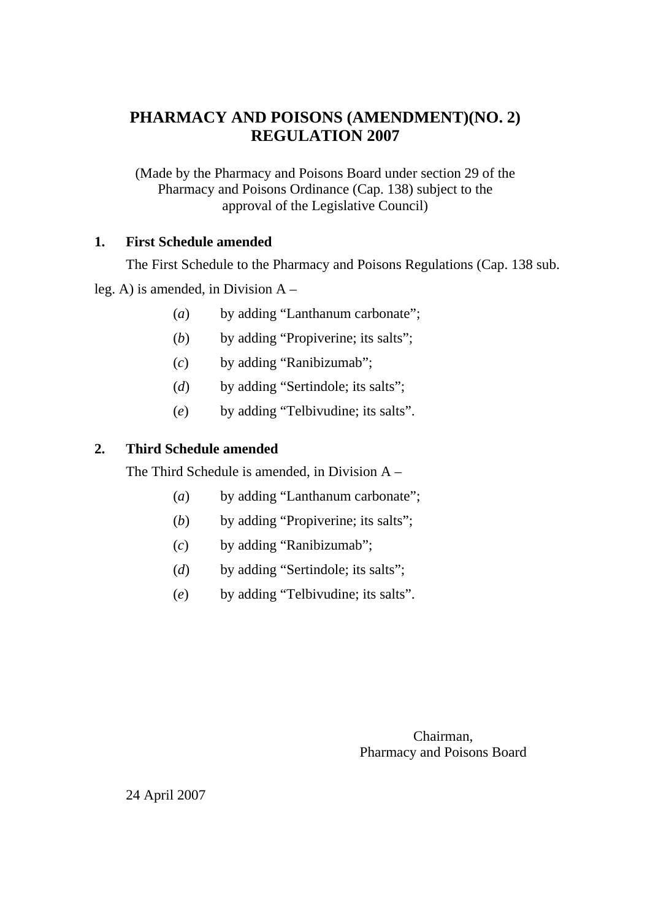# **PHARMACY AND POISONS (AMENDMENT)(NO. 2) REGULATION 2007**

(Made by the Pharmacy and Poisons Board under section 29 of the Pharmacy and Poisons Ordinance (Cap. 138) subject to the approval of the Legislative Council)

## **1. First Schedule amended**

The First Schedule to the Pharmacy and Poisons Regulations (Cap. 138 sub.

leg. A) is amended, in Division A –

- (*a*) by adding "Lanthanum carbonate";
- (*b*) by adding "Propiverine; its salts";
- (*c*) by adding "Ranibizumab";
- (*d*) by adding "Sertindole; its salts";
- (*e*) by adding "Telbivudine; its salts".

## **2. Third Schedule amended**

The Third Schedule is amended, in Division A –

- (*a*) by adding "Lanthanum carbonate";
- (*b*) by adding "Propiverine; its salts";
- (*c*) by adding "Ranibizumab";
- (*d*) by adding "Sertindole; its salts";
- (*e*) by adding "Telbivudine; its salts".

Chairman, Pharmacy and Poisons Board

24 April 2007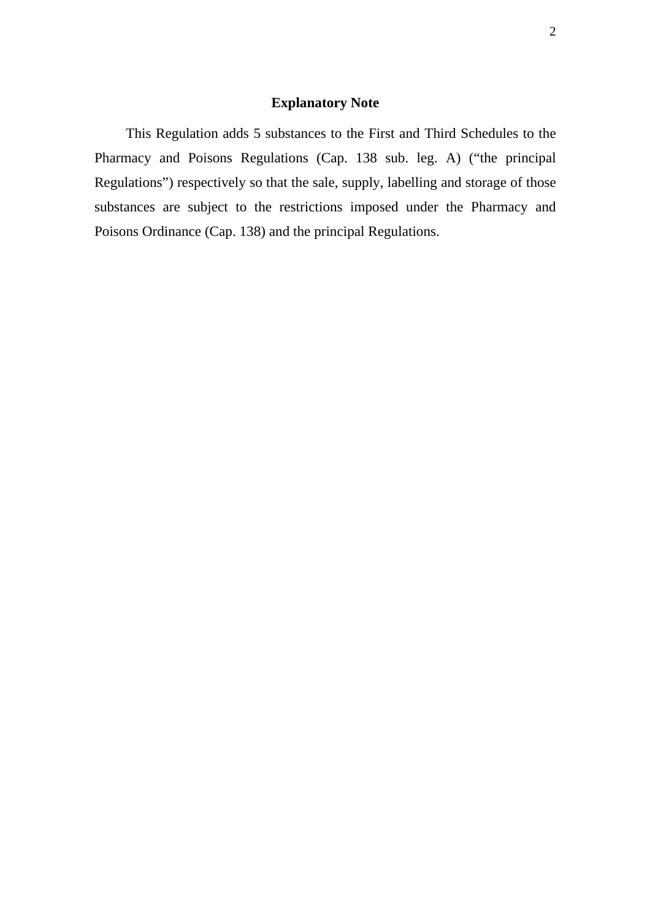### **Explanatory Note**

This Regulation adds 5 substances to the First and Third Schedules to the Pharmacy and Poisons Regulations (Cap. 138 sub. leg. A) ("the principal Regulations") respectively so that the sale, supply, labelling and storage of those substances are subject to the restrictions imposed under the Pharmacy and Poisons Ordinance (Cap. 138) and the principal Regulations.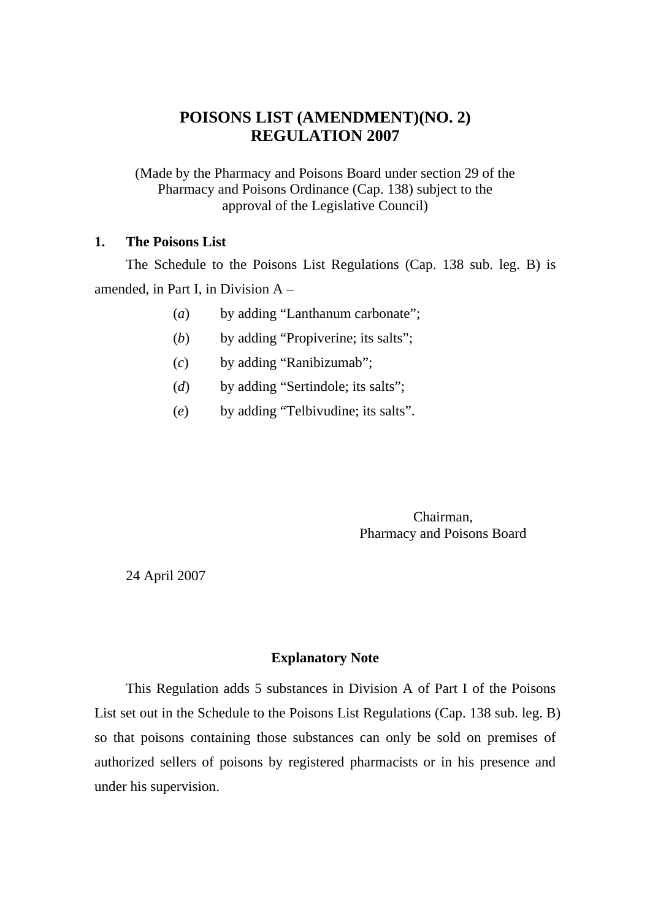## **POISONS LIST (AMENDMENT)(NO. 2) REGULATION 2007**

(Made by the Pharmacy and Poisons Board under section 29 of the Pharmacy and Poisons Ordinance (Cap. 138) subject to the approval of the Legislative Council)

#### **1. The Poisons List**

The Schedule to the Poisons List Regulations (Cap. 138 sub. leg. B) is amended, in Part I, in Division A –

- (*a*) by adding "Lanthanum carbonate";
- (*b*) by adding "Propiverine; its salts";
- (*c*) by adding "Ranibizumab";
- (*d*) by adding "Sertindole; its salts";
- (*e*) by adding "Telbivudine; its salts".

Chairman, Pharmacy and Poisons Board

24 April 2007

#### **Explanatory Note**

This Regulation adds 5 substances in Division A of Part I of the Poisons List set out in the Schedule to the Poisons List Regulations (Cap. 138 sub. leg. B) so that poisons containing those substances can only be sold on premises of authorized sellers of poisons by registered pharmacists or in his presence and under his supervision.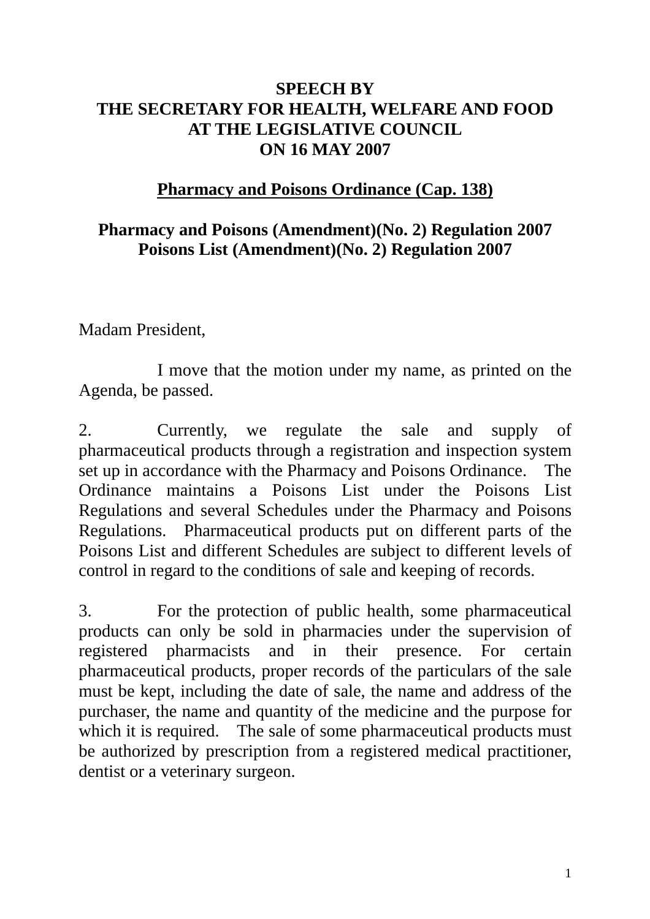# **SPEECH BY THE SECRETARY FOR HEALTH, WELFARE AND FOOD AT THE LEGISLATIVE COUNCIL ON 16 MAY 2007**

# **Pharmacy and Poisons Ordinance (Cap. 138)**

# **Pharmacy and Poisons (Amendment)(No. 2) Regulation 2007 Poisons List (Amendment)(No. 2) Regulation 2007**

Madam President,

1 I move that the motion under my name, as printed on the Agenda, be passed.

2. Currently, we regulate the sale and supply of pharmaceutical products through a registration and inspection system set up in accordance with the Pharmacy and Poisons Ordinance. The Ordinance maintains a Poisons List under the Poisons List Regulations and several Schedules under the Pharmacy and Poisons Regulations. Pharmaceutical products put on different parts of the Poisons List and different Schedules are subject to different levels of control in regard to the conditions of sale and keeping of records.

3. For the protection of public health, some pharmaceutical products can only be sold in pharmacies under the supervision of registered pharmacists and in their presence. For certain pharmaceutical products, proper records of the particulars of the sale must be kept, including the date of sale, the name and address of the purchaser, the name and quantity of the medicine and the purpose for which it is required. The sale of some pharmaceutical products must be authorized by prescription from a registered medical practitioner, dentist or a veterinary surgeon.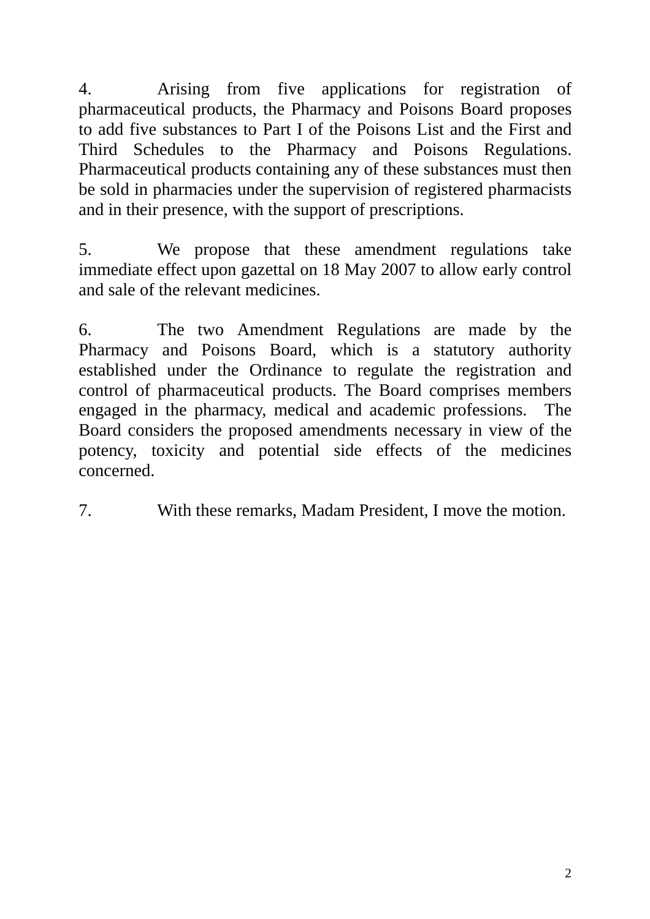4. Arising from five applications for registration of pharmaceutical products, the Pharmacy and Poisons Board proposes to add five substances to Part I of the Poisons List and the First and Third Schedules to the Pharmacy and Poisons Regulations. Pharmaceutical products containing any of these substances must then be sold in pharmacies under the supervision of registered pharmacists and in their presence, with the support of prescriptions.

5. We propose that these amendment regulations take immediate effect upon gazettal on 18 May 2007 to allow early control and sale of the relevant medicines.

6. The two Amendment Regulations are made by the Pharmacy and Poisons Board, which is a statutory authority established under the Ordinance to regulate the registration and control of pharmaceutical products. The Board comprises members engaged in the pharmacy, medical and academic professions. The Board considers the proposed amendments necessary in view of the potency, toxicity and potential side effects of the medicines concerned.

7. With these remarks, Madam President, I move the motion.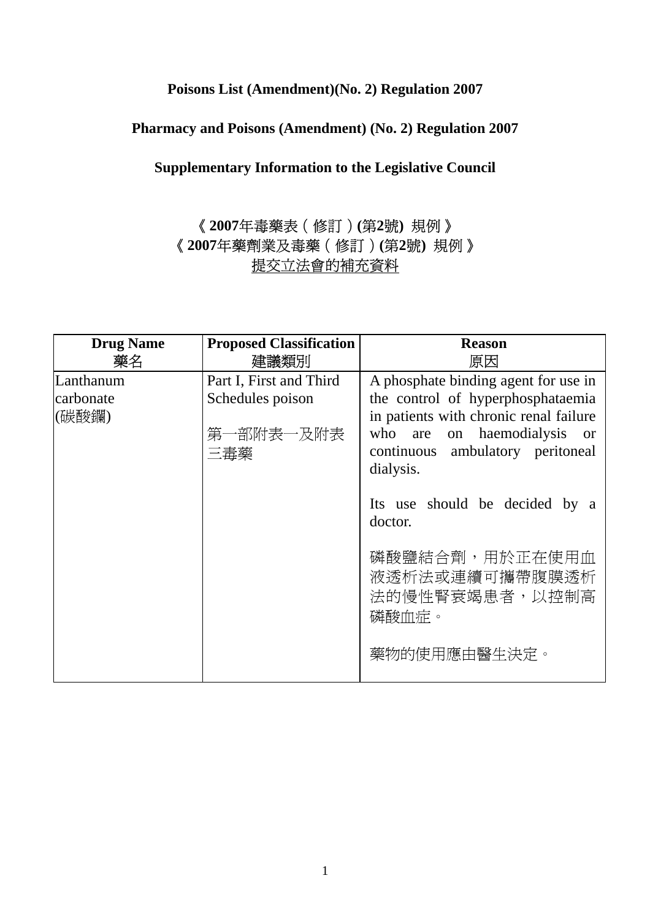## **Poisons List (Amendment)(No. 2) Regulation 2007**

# **Pharmacy and Poisons (Amendment) (No. 2) Regulation 2007**

# **Supplementary Information to the Legislative Council**

# 《**2007**年毒藥表(修訂)**(**第**2**號**)** 規例》 《**2007**年藥劑業及毒藥(修訂)**(**第**2**號**)** 規例》 提交立法會的補充資料

| <b>Drug Name</b><br>藥名          | <b>Proposed Classification</b><br>建議類別                          | <b>Reason</b><br>原因                                                                                                                                                                                  |
|---------------------------------|-----------------------------------------------------------------|------------------------------------------------------------------------------------------------------------------------------------------------------------------------------------------------------|
| Lanthanum<br>carbonate<br>(碳酸鑭) | Part I, First and Third<br>Schedules poison<br>第一部附表一及附表<br>三毒藥 | A phosphate binding agent for use in<br>the control of hyperphosphataemia<br>in patients with chronic renal failure<br>who are on haemodialysis<br><sub>or</sub><br>continuous ambulatory peritoneal |
|                                 |                                                                 | dialysis.<br>Its use should be decided by a<br>doctor.                                                                                                                                               |
|                                 |                                                                 | 磷酸鹽結合劑,用於正在使用血<br>液透析法或連續可攜帶腹膜透析<br>法的慢性腎衰竭患者,以控制高<br>磷酸血症。                                                                                                                                          |
|                                 |                                                                 | 藥物的使用應由醫生決定。                                                                                                                                                                                         |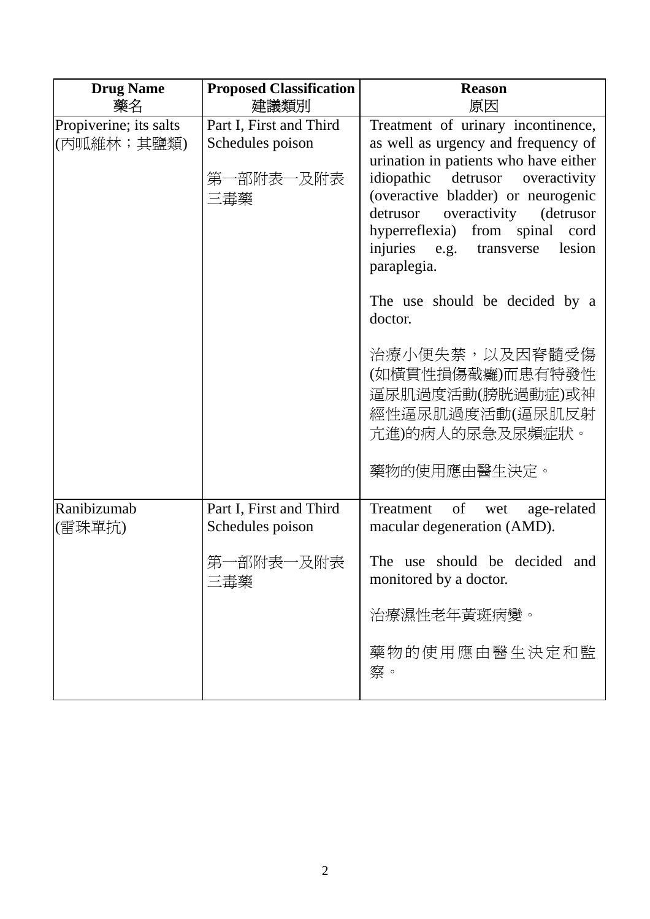| <b>Drug Name</b><br>藥名               | <b>Proposed Classification</b><br>建議類別                          | <b>Reason</b><br>原因                                                                                                                                                                                                                                                                                                                                                                                                                           |
|--------------------------------------|-----------------------------------------------------------------|-----------------------------------------------------------------------------------------------------------------------------------------------------------------------------------------------------------------------------------------------------------------------------------------------------------------------------------------------------------------------------------------------------------------------------------------------|
| Propiverine; its salts<br>(丙呱維林;其鹽類) | Part I, First and Third<br>Schedules poison<br>第一部附表一及附表<br>三毒藥 | Treatment of urinary incontinence,<br>as well as urgency and frequency of<br>urination in patients who have either<br>idiopathic<br>detrusor<br>overactivity<br>(overactive bladder) or neurogenic<br>overactivity (detrusor<br>detrusor<br>hyperreflexia) from spinal<br>cord<br>lesion<br>injuries e.g.<br>transverse<br>paraplegia.<br>The use should be decided by a<br>doctor.<br>治療小便失禁,以及因脊髓受傷<br>(如橫貫性損傷截癱)而患有特發性<br>逼尿肌過度活動(膀胱過動症)或神 |
|                                      |                                                                 | 經性逼尿肌過度活動(逼尿肌反射<br>亢進)的病人的尿急及尿頻症狀。<br>藥物的使用應由醫生決定。                                                                                                                                                                                                                                                                                                                                                                                            |
| Ranibizumab<br>(雷珠單抗)                | Part I, First and Third<br>Schedules poison                     | of<br>Treatment<br>age-related<br>wet<br>macular degeneration (AMD).                                                                                                                                                                                                                                                                                                                                                                          |
|                                      | 第一部附表一及附表<br>三毒藥                                                | should be decided<br>The use<br>and<br>monitored by a doctor.                                                                                                                                                                                                                                                                                                                                                                                 |
|                                      |                                                                 | 治療濕性老年黃斑病變。                                                                                                                                                                                                                                                                                                                                                                                                                                   |
|                                      |                                                                 | 藥物的使用應由醫生決定和監<br>察。                                                                                                                                                                                                                                                                                                                                                                                                                           |